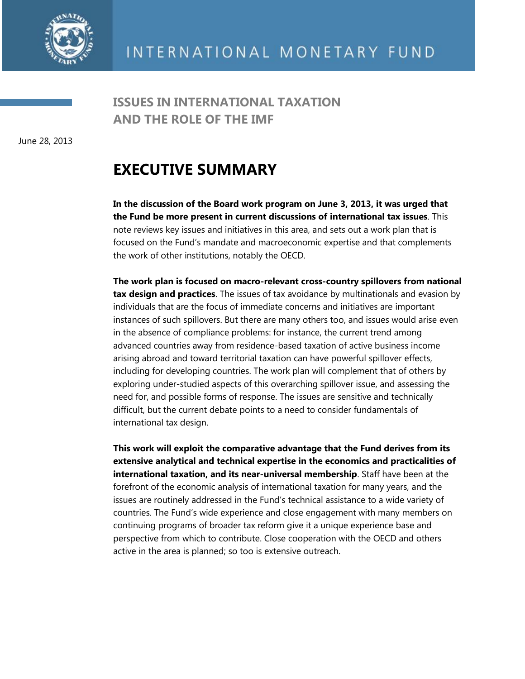

**ISSUES IN INTERNATIONAL TAXATION AND THE ROLE OF THE IMF**

June 28, 2013

## **EXECUTIVE SUMMARY**

**In the discussion of the Board work program on June 3, 2013, it was urged that the Fund be more present in current discussions of international tax issues**. This note reviews key issues and initiatives in this area, and sets out a work plan that is focused on the Fund's mandate and macroeconomic expertise and that complements the work of other institutions, notably the OECD.

**The work plan is focused on macro-relevant cross-country spillovers from national tax design and practices**. The issues of tax avoidance by multinationals and evasion by individuals that are the focus of immediate concerns and initiatives are important instances of such spillovers. But there are many others too, and issues would arise even in the absence of compliance problems: for instance, the current trend among advanced countries away from residence-based taxation of active business income arising abroad and toward territorial taxation can have powerful spillover effects, including for developing countries. The work plan will complement that of others by exploring under-studied aspects of this overarching spillover issue, and assessing the need for, and possible forms of response. The issues are sensitive and technically difficult, but the current debate points to a need to consider fundamentals of international tax design.

**This work will exploit the comparative advantage that the Fund derives from its extensive analytical and technical expertise in the economics and practicalities of international taxation, and its near-universal membership**. Staff have been at the forefront of the economic analysis of international taxation for many years, and the issues are routinely addressed in the Fund's technical assistance to a wide variety of countries. The Fund's wide experience and close engagement with many members on continuing programs of broader tax reform give it a unique experience base and perspective from which to contribute. Close cooperation with the OECD and others active in the area is planned; so too is extensive outreach.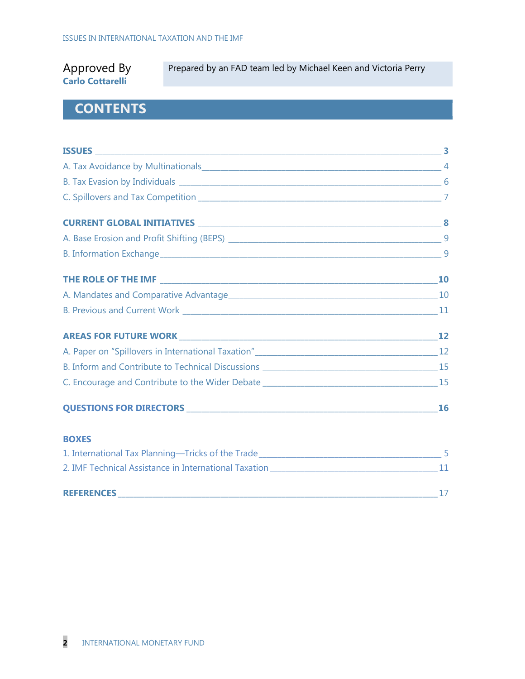### Approved By **Carlo Cottarelli**

Prepared by an FAD team led by Michael Keen and Victoria Perry

## **CONTENTS**

| C. Encourage and Contribute to the Wider Debate _________________________________15 |   |
|-------------------------------------------------------------------------------------|---|
|                                                                                     |   |
| <b>BOXES</b>                                                                        |   |
| 1. International Tax Planning-Tricks of the Trade_______________________________    | 5 |

| 2. IMF Technical Assistance in International Taxation |  |
|-------------------------------------------------------|--|
|                                                       |  |
| <b>REFERENCES</b>                                     |  |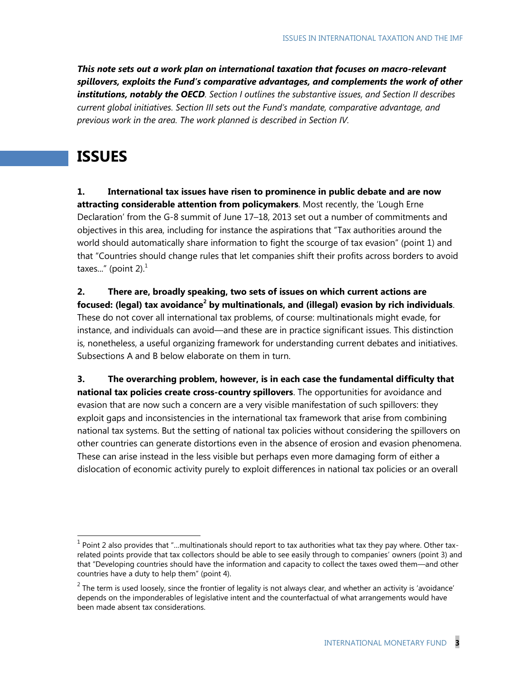*This note sets out a work plan on international taxation that focuses on macro-relevant spillovers, exploits the Fund's comparative advantages, and complements the work of other institutions, notably the OECD. Section I outlines the substantive issues, and Section II describes current global initiatives. Section III sets out the Fund's mandate, comparative advantage, and previous work in the area. The work planned is described in Section IV.*

## **ISSUES**

 $\overline{\phantom{a}}$ 

**1. International tax issues have risen to prominence in public debate and are now**  attracting considerable attention from policymakers. Most recently, the 'Lough Erne Declaration' from the G-8 summit of June 17–18, 2013 set out a number of commitments and objectives in this area, including for instance the aspirations that "Tax authorities around the world should automatically share information to fight the scourge of tax evasion" (point 1) and that "Countries should change rules that let companies shift their profits across borders to avoid taxes..." (point 2). $<sup>1</sup>$ </sup>

**2. There are, broadly speaking, two sets of issues on which current actions are focused: (legal) tax avoidance<sup>2</sup> by multinationals, and (illegal) evasion by rich individuals**. These do not cover all international tax problems, of course: multinationals might evade, for instance, and individuals can avoid—and these are in practice significant issues. This distinction is, nonetheless, a useful organizing framework for understanding current debates and initiatives. Subsections A and B below elaborate on them in turn.

**3. The overarching problem, however, is in each case the fundamental difficulty that national tax policies create cross-country spillovers**. The opportunities for avoidance and evasion that are now such a concern are a very visible manifestation of such spillovers: they exploit gaps and inconsistencies in the international tax framework that arise from combining national tax systems. But the setting of national tax policies without considering the spillovers on other countries can generate distortions even in the absence of erosion and evasion phenomena. These can arise instead in the less visible but perhaps even more damaging form of either a dislocation of economic activity purely to exploit differences in national tax policies or an overall

 $<sup>1</sup>$  Point 2 also provides that "...multinationals should report to tax authorities what tax they pay where. Other tax-</sup> related points provide that tax collectors should be able to see easily through to companies' owners (point 3) and that "Developing countries should have the information and capacity to collect the taxes owed them—and other countries have a duty to help them" (point 4).

<sup>&</sup>lt;sup>2</sup> The term is used loosely, since the frontier of legality is not always clear, and whether an activity is 'avoidance' depends on the imponderables of legislative intent and the counterfactual of what arrangements would have been made absent tax considerations.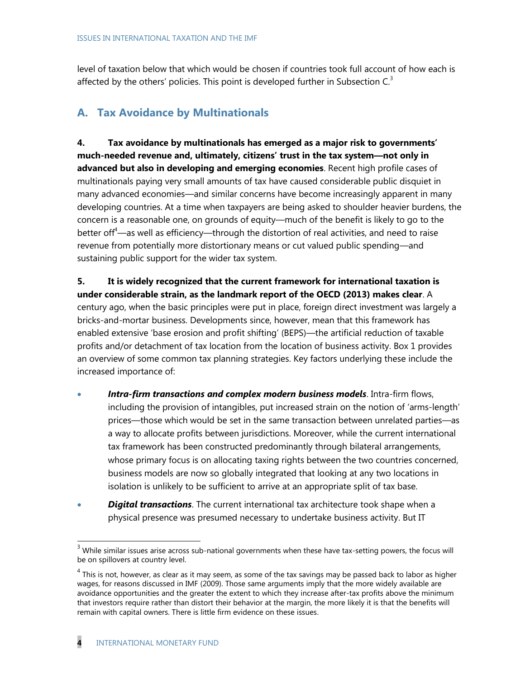level of taxation below that which would be chosen if countries took full account of how each is affected by the others' policies. This point is developed further in Subsection  $C<sup>3</sup>$ 

### **A. Tax Avoidance by Multinationals**

**4. Tax avoidance by multinationals has emerged as a major risk to governments" much-needed revenue and, ultimately, citizens" trust in the tax system—not only in advanced but also in developing and emerging economies**. Recent high profile cases of multinationals paying very small amounts of tax have caused considerable public disquiet in many advanced economies—and similar concerns have become increasingly apparent in many developing countries. At a time when taxpayers are being asked to shoulder heavier burdens, the concern is a reasonable one, on grounds of equity—much of the benefit is likely to go to the better of  $f^4$ —as well as efficiency—through the distortion of real activities, and need to raise revenue from potentially more distortionary means or cut valued public spending—and sustaining public support for the wider tax system.

**5. It is widely recognized that the current framework for international taxation is under considerable strain, as the landmark report of the OECD (2013) makes clear**. A century ago, when the basic principles were put in place, foreign direct investment was largely a bricks-and-mortar business. Developments since, however, mean that this framework has enabled extensive 'base erosion and profit shifting' (BEPS)—the artificial reduction of taxable profits and/or detachment of tax location from the location of business activity. Box 1 provides an overview of some common tax planning strategies. Key factors underlying these include the increased importance of:

- *Intra-firm transactions and complex modern business models*. Intra-firm flows, including the provision of intangibles, put increased strain on the notion of 'arms-length' prices—those which would be set in the same transaction between unrelated parties—as a way to allocate profits between jurisdictions. Moreover, while the current international tax framework has been constructed predominantly through bilateral arrangements, whose primary focus is on allocating taxing rights between the two countries concerned, business models are now so globally integrated that looking at any two locations in isolation is unlikely to be sufficient to arrive at an appropriate split of tax base.
- *Digital transactions*. The current international tax architecture took shape when a physical presence was presumed necessary to undertake business activity. But IT

<sup>&</sup>lt;sup>3</sup> While similar issues arise across sub-national governments when these have tax-setting powers, the focus will be on spillovers at country level.

 $^4$  This is not, however, as clear as it may seem, as some of the tax savings may be passed back to labor as higher wages, for reasons discussed in IMF (2009). Those same arguments imply that the more widely available are avoidance opportunities and the greater the extent to which they increase after-tax profits above the minimum that investors require rather than distort their behavior at the margin, the more likely it is that the benefits will remain with capital owners. There is little firm evidence on these issues.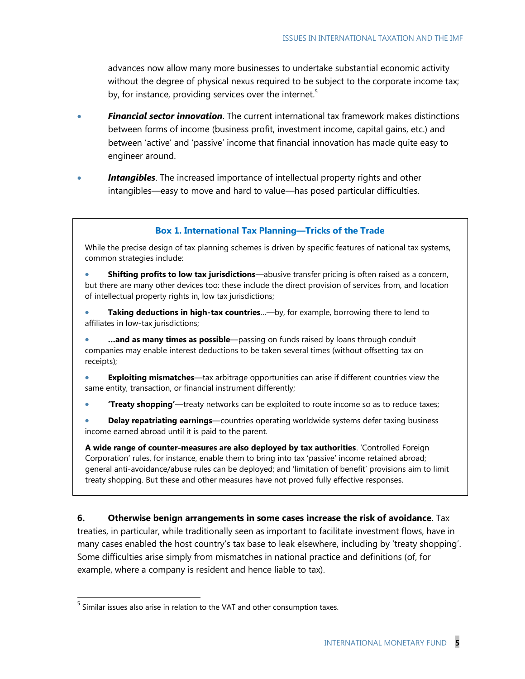advances now allow many more businesses to undertake substantial economic activity without the degree of physical nexus required to be subject to the corporate income tax; by, for instance, providing services over the internet.<sup>5</sup>

- *Financial sector innovation*. The current international tax framework makes distinctions between forms of income (business profit, investment income, capital gains, etc.) and between 'active' and 'passive' income that financial innovation has made quite easy to engineer around.
- **Intangibles**. The increased importance of intellectual property rights and other intangibles—easy to move and hard to value—has posed particular difficulties.

#### **Box 1. International Tax Planning―Tricks of the Trade**

While the precise design of tax planning schemes is driven by specific features of national tax systems, common strategies include:

 **Shifting profits to low tax jurisdictions**—abusive transfer pricing is often raised as a concern, but there are many other devices too: these include the direct provision of services from, and location of intellectual property rights in, low tax jurisdictions;

 **Taking deductions in high-tax countries**…—by, for example, borrowing there to lend to affiliates in low-tax jurisdictions;

 **…and as many times as possible**—passing on funds raised by loans through conduit companies may enable interest deductions to be taken several times (without offsetting tax on receipts);

 **Exploiting mismatches**—tax arbitrage opportunities can arise if different countries view the same entity, transaction, or financial instrument differently;

**"Treaty shopping"**—treaty networks can be exploited to route income so as to reduce taxes;

 **Delay repatriating earnings**—countries operating worldwide systems defer taxing business income earned abroad until it is paid to the parent.

**A wide range of counter-measures are also deployed by tax authorities**. ‗Controlled Foreign Corporation' rules, for instance, enable them to bring into tax 'passive' income retained abroad; general anti-avoidance/abuse rules can be deployed; and 'limitation of benefit' provisions aim to limit treaty shopping. But these and other measures have not proved fully effective responses.

**6. Otherwise benign arrangements in some cases increase the risk of avoidance**. Tax treaties, in particular, while traditionally seen as important to facilitate investment flows, have in many cases enabled the host country's tax base to leak elsewhere, including by 'treaty shopping'. Some difficulties arise simply from mismatches in national practice and definitions (of, for example, where a company is resident and hence liable to tax).

 $<sup>5</sup>$  Similar issues also arise in relation to the VAT and other consumption taxes.</sup>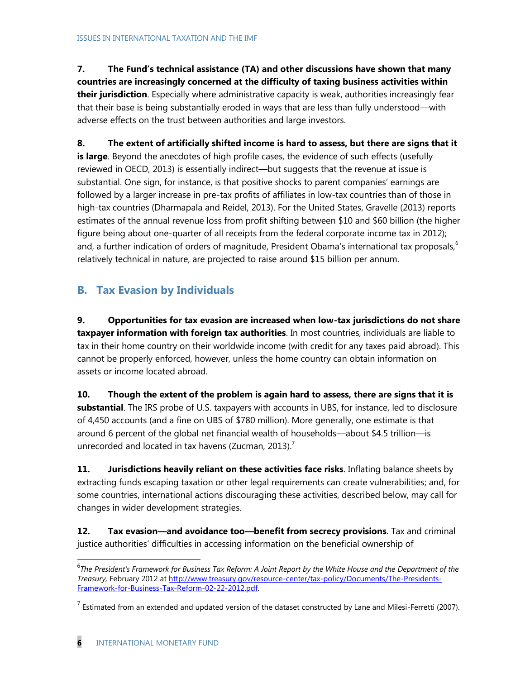**7. The Fund"s technical assistance (TA) and other discussions have shown that many countries are increasingly concerned at the difficulty of taxing business activities within their jurisdiction**. Especially where administrative capacity is weak, authorities increasingly fear that their base is being substantially eroded in ways that are less than fully understood—with adverse effects on the trust between authorities and large investors.

**8. The extent of artificially shifted income is hard to assess, but there are signs that it**  is large. Beyond the anecdotes of high profile cases, the evidence of such effects (usefully reviewed in OECD, 2013) is essentially indirect—but suggests that the revenue at issue is substantial. One sign, for instance, is that positive shocks to parent companies' earnings are followed by a larger increase in pre-tax profits of affiliates in low-tax countries than of those in high-tax countries (Dharmapala and Reidel, 2013). For the United States, Gravelle (2013) reports estimates of the annual revenue loss from profit shifting between \$10 and \$60 billion (the higher figure being about one-quarter of all receipts from the federal corporate income tax in 2012); and, a further indication of orders of magnitude, President Obama's international tax proposals,<sup>6</sup> relatively technical in nature, are projected to raise around \$15 billion per annum.

## **B. Tax Evasion by Individuals**

**9. Opportunities for tax evasion are increased when low-tax jurisdictions do not share taxpayer information with foreign tax authorities**. In most countries, individuals are liable to tax in their home country on their worldwide income (with credit for any taxes paid abroad). This cannot be properly enforced, however, unless the home country can obtain information on assets or income located abroad.

**10. Though the extent of the problem is again hard to assess, there are signs that it is substantial**. The IRS probe of U.S. taxpayers with accounts in UBS, for instance, led to disclosure of 4,450 accounts (and a fine on UBS of \$780 million). More generally, one estimate is that around 6 percent of the global net financial wealth of households—about \$4.5 trillion—is unrecorded and located in tax havens (Zucman, 2013).<sup>7</sup>

**11. Jurisdictions heavily reliant on these activities face risks**. Inflating balance sheets by extracting funds escaping taxation or other legal requirements can create vulnerabilities; and, for some countries, international actions discouraging these activities, described below, may call for changes in wider development strategies.

**12. Tax evasion—and avoidance too—benefit from secrecy provisions**. Tax and criminal justice authorities' difficulties in accessing information on the beneficial ownership of

<sup>&</sup>lt;sup>6</sup>The President's Framework for Business Tax Reform: A Joint Report by the White House and the Department of the *Treasury,* February 2012 at [http://www.treasury.gov/resource-center/tax-policy/Documents/The-Presidents-](http://www.treasury.gov/resource-center/tax-policy/Documents/The-Presidents-Framework-for-Business-Tax-Reform-02-22-2012.pdf)[Framework-for-Business-Tax-Reform-02-22-2012.pdf.](http://www.treasury.gov/resource-center/tax-policy/Documents/The-Presidents-Framework-for-Business-Tax-Reform-02-22-2012.pdf)

<sup>&</sup>lt;sup>7</sup> Estimated from an extended and updated version of the dataset constructed by Lane and Milesi-Ferretti (2007).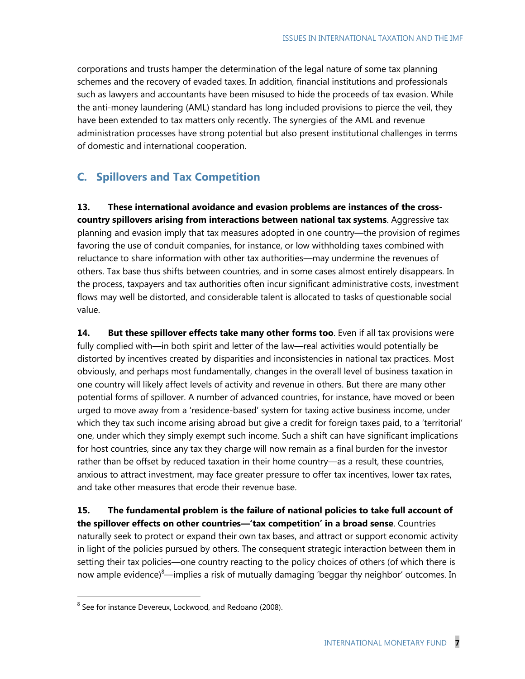corporations and trusts hamper the determination of the legal nature of some tax planning schemes and the recovery of evaded taxes. In addition, financial institutions and professionals such as lawyers and accountants have been misused to hide the proceeds of tax evasion. While the anti-money laundering (AML) standard has long included provisions to pierce the veil, they have been extended to tax matters only recently. The synergies of the AML and revenue administration processes have strong potential but also present institutional challenges in terms of domestic and international cooperation.

## **C. Spillovers and Tax Competition**

**13. These international avoidance and evasion problems are instances of the crosscountry spillovers arising from interactions between national tax systems**. Aggressive tax planning and evasion imply that tax measures adopted in one country—the provision of regimes favoring the use of conduit companies, for instance, or low withholding taxes combined with reluctance to share information with other tax authorities—may undermine the revenues of others. Tax base thus shifts between countries, and in some cases almost entirely disappears. In the process, taxpayers and tax authorities often incur significant administrative costs, investment flows may well be distorted, and considerable talent is allocated to tasks of questionable social value.

14. But these spillover effects take many other forms too. Even if all tax provisions were fully complied with—in both spirit and letter of the law—real activities would potentially be distorted by incentives created by disparities and inconsistencies in national tax practices. Most obviously, and perhaps most fundamentally, changes in the overall level of business taxation in one country will likely affect levels of activity and revenue in others. But there are many other potential forms of spillover. A number of advanced countries, for instance, have moved or been urged to move away from a 'residence-based' system for taxing active business income, under which they tax such income arising abroad but give a credit for foreign taxes paid, to a 'territorial' one, under which they simply exempt such income. Such a shift can have significant implications for host countries, since any tax they charge will now remain as a final burden for the investor rather than be offset by reduced taxation in their home country—as a result, these countries, anxious to attract investment, may face greater pressure to offer tax incentives, lower tax rates, and take other measures that erode their revenue base.

**15. The fundamental problem is the failure of national policies to take full account of the spillover effects on other countries—"tax competition" in a broad sense**. Countries naturally seek to protect or expand their own tax bases, and attract or support economic activity in light of the policies pursued by others. The consequent strategic interaction between them in setting their tax policies—one country reacting to the policy choices of others (of which there is now ample evidence)<sup>8</sup>—implies a risk of mutually damaging 'beggar thy neighbor' outcomes. In

<sup>&</sup>lt;sup>8</sup> See for instance Devereux, Lockwood, and Redoano (2008).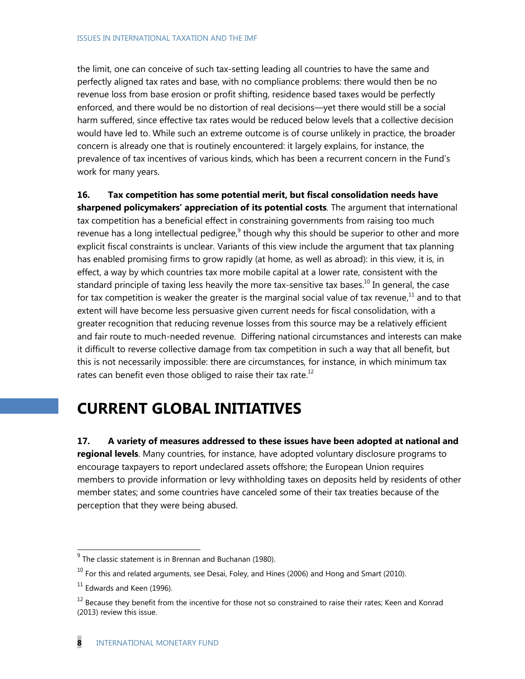the limit, one can conceive of such tax-setting leading all countries to have the same and perfectly aligned tax rates and base, with no compliance problems: there would then be no revenue loss from base erosion or profit shifting, residence based taxes would be perfectly enforced, and there would be no distortion of real decisions—yet there would still be a social harm suffered, since effective tax rates would be reduced below levels that a collective decision would have led to. While such an extreme outcome is of course unlikely in practice, the broader concern is already one that is routinely encountered: it largely explains, for instance, the prevalence of tax incentives of various kinds, which has been a recurrent concern in the Fund's work for many years.

**16. Tax competition has some potential merit, but fiscal consolidation needs have sharpened policymakers" appreciation of its potential costs**. The argument that international tax competition has a beneficial effect in constraining governments from raising too much revenue has a long intellectual pedigree, $9$  though why this should be superior to other and more explicit fiscal constraints is unclear. Variants of this view include the argument that tax planning has enabled promising firms to grow rapidly (at home, as well as abroad): in this view, it is, in effect, a way by which countries tax more mobile capital at a lower rate, consistent with the standard principle of taxing less heavily the more tax-sensitive tax bases.<sup>10</sup> In general, the case for tax competition is weaker the greater is the marginal social value of tax revenue, $^{11}$  and to that extent will have become less persuasive given current needs for fiscal consolidation, with a greater recognition that reducing revenue losses from this source may be a relatively efficient and fair route to much-needed revenue. Differing national circumstances and interests can make it difficult to reverse collective damage from tax competition in such a way that all benefit, but this is not necessarily impossible: there are circumstances, for instance, in which minimum tax rates can benefit even those obliged to raise their tax rate. $12$ 

# **CURRENT GLOBAL INITIATIVES**

**17. A variety of measures addressed to these issues have been adopted at national and regional levels**. Many countries, for instance, have adopted voluntary disclosure programs to encourage taxpayers to report undeclared assets offshore; the European Union requires members to provide information or levy withholding taxes on deposits held by residents of other member states; and some countries have canceled some of their tax treaties because of the perception that they were being abused.

 $^{9}$  The classic statement is in Brennan and Buchanan (1980).

 $10$  For this and related arguments, see Desai, Foley, and Hines (2006) and Hong and Smart (2010).

 $11$  Edwards and Keen (1996).

<sup>&</sup>lt;sup>12</sup> Because they benefit from the incentive for those not so constrained to raise their rates; Keen and Konrad (2013) review this issue.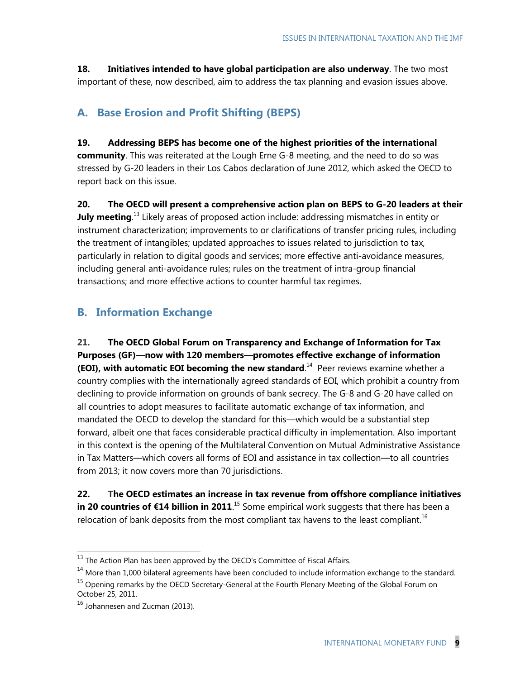**18. Initiatives intended to have global participation are also underway**. The two most important of these, now described, aim to address the tax planning and evasion issues above.

## **A. Base Erosion and Profit Shifting (BEPS)**

#### **19. Addressing BEPS has become one of the highest priorities of the international**

**community**. This was reiterated at the Lough Erne G-8 meeting, and the need to do so was stressed by G-20 leaders in their Los Cabos declaration of June 2012, which asked the OECD to report back on this issue.

**20. The OECD will present a comprehensive action plan on BEPS to G-20 leaders at their July meeting**.<sup>13</sup> Likely areas of proposed action include: addressing mismatches in entity or instrument characterization; improvements to or clarifications of transfer pricing rules, including the treatment of intangibles; updated approaches to issues related to jurisdiction to tax, particularly in relation to digital goods and services; more effective anti-avoidance measures, including general anti-avoidance rules; rules on the treatment of intra-group financial transactions; and more effective actions to counter harmful tax regimes.

## **B. Information Exchange**

**21. The OECD Global Forum on Transparency and Exchange of Information for Tax Purposes (GF)—now with 120 members—promotes effective exchange of information (EOI), with automatic EOI becoming the new standard**.<sup>14</sup> Peer reviews examine whether a country complies with the internationally agreed standards of EOI, which prohibit a country from declining to provide information on grounds of bank secrecy. The G-8 and G-20 have called on all countries to adopt measures to facilitate automatic exchange of tax information, and mandated the OECD to develop the standard for this―which would be a substantial step forward, albeit one that faces considerable practical difficulty in implementation. Also important in this context is the opening of the Multilateral Convention on Mutual Administrative Assistance in Tax Matters—which covers all forms of EOI and assistance in tax collection—to all countries from 2013; it now covers more than 70 jurisdictions.

**22. The OECD estimates an increase in tax revenue from offshore compliance initiatives in 20 countries of €14 billion in 2011.**<sup>15</sup> Some empirical work suggests that there has been a relocation of bank deposits from the most compliant tax havens to the least compliant.<sup>16</sup>

 $13$  The Action Plan has been approved by the OECD's Committee of Fiscal Affairs.

<sup>&</sup>lt;sup>14</sup> More than 1,000 bilateral agreements have been concluded to include information exchange to the standard.

<sup>&</sup>lt;sup>15</sup> Opening remarks by the OECD Secretary-General at the Fourth Plenary Meeting of the Global Forum on October 25, 2011.

<sup>16</sup> Johannesen and Zucman (2013).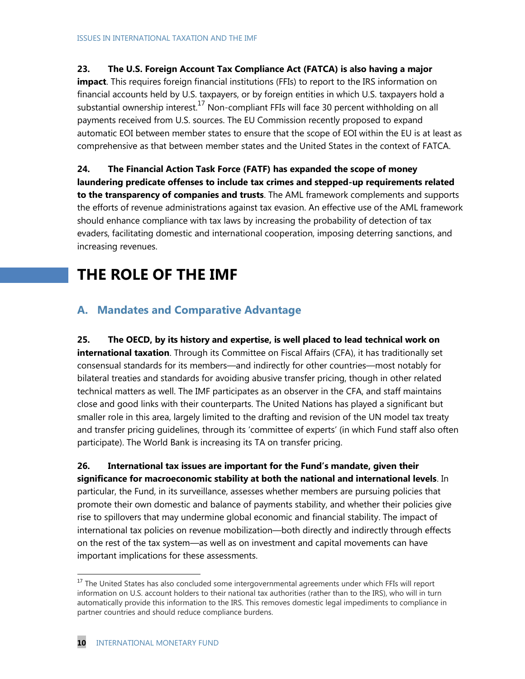#### **23. The U.S. Foreign Account Tax Compliance Act (FATCA) is also having a major**

**impact**. This requires foreign financial institutions (FFIs) to report to the IRS information on financial accounts held by U.S. taxpayers, or by foreign entities in which U.S. taxpayers hold a substantial ownership interest.<sup>17</sup> Non-compliant FFIs will face 30 percent withholding on all payments received from U.S. sources. The EU Commission recently proposed to expand automatic EOI between member states to ensure that the scope of EOI within the EU is at least as comprehensive as that between member states and the United States in the context of FATCA.

#### **24. The Financial Action Task Force (FATF) has expanded the scope of money**

**laundering predicate offenses to include tax crimes and stepped-up requirements related to the transparency of companies and trusts**. The AML framework complements and supports the efforts of revenue administrations against tax evasion. An effective use of the AML framework should enhance compliance with tax laws by increasing the probability of detection of tax evaders, facilitating domestic and international cooperation, imposing deterring sanctions, and increasing revenues.

## **THE ROLE OF THE IMF**

### **A. Mandates and Comparative Advantage**

**25. The OECD, by its history and expertise, is well placed to lead technical work on international taxation**. Through its Committee on Fiscal Affairs (CFA), it has traditionally set consensual standards for its members—and indirectly for other countries—most notably for bilateral treaties and standards for avoiding abusive transfer pricing, though in other related technical matters as well. The IMF participates as an observer in the CFA, and staff maintains close and good links with their counterparts. The United Nations has played a significant but smaller role in this area, largely limited to the drafting and revision of the UN model tax treaty and transfer pricing quidelines, through its 'committee of experts' (in which Fund staff also often participate). The World Bank is increasing its TA on transfer pricing.

**26. International tax issues are important for the Fund"s mandate, given their significance for macroeconomic stability at both the national and international levels**. In particular, the Fund, in its surveillance, assesses whether members are pursuing policies that promote their own domestic and balance of payments stability, and whether their policies give rise to spillovers that may undermine global economic and financial stability. The impact of international tax policies on revenue mobilization—both directly and indirectly through effects on the rest of the tax system—as well as on investment and capital movements can have important implications for these assessments.

<sup>&</sup>lt;sup>17</sup> The United States has also concluded some intergovernmental agreements under which FFIs will report information on U.S. account holders to their national tax authorities (rather than to the IRS), who will in turn automatically provide this information to the IRS. This removes domestic legal impediments to compliance in partner countries and should reduce compliance burdens.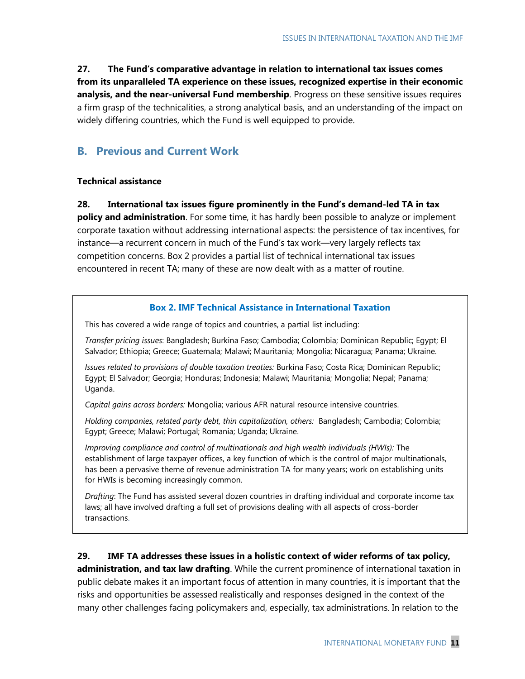**27. The Fund"s comparative advantage in relation to international tax issues comes from its unparalleled TA experience on these issues, recognized expertise in their economic analysis, and the near-universal Fund membership**. Progress on these sensitive issues requires a firm grasp of the technicalities, a strong analytical basis, and an understanding of the impact on widely differing countries, which the Fund is well equipped to provide.

## **B. Previous and Current Work**

#### **Technical assistance**

**28. International tax issues figure prominently in the Fund"s demand-led TA in tax policy and administration**. For some time, it has hardly been possible to analyze or implement corporate taxation without addressing international aspects: the persistence of tax incentives, for instance—a recurrent concern in much of the Fund's tax work—very largely reflects tax competition concerns. Box 2 provides a partial list of technical international tax issues encountered in recent TA; many of these are now dealt with as a matter of routine.

#### **Box 2. IMF Technical Assistance in International Taxation**

This has covered a wide range of topics and countries, a partial list including:

*Transfer pricing issues*: Bangladesh; Burkina Faso; Cambodia; Colombia; Dominican Republic; Egypt; El Salvador; Ethiopia; Greece; Guatemala; Malawi; Mauritania; Mongolia; Nicaragua; Panama; Ukraine.

*Issues related to provisions of double taxation treaties:* Burkina Faso; Costa Rica; Dominican Republic; Egypt; El Salvador; Georgia; Honduras; Indonesia; Malawi; Mauritania; Mongolia; Nepal; Panama; Uganda.

*Capital gains across borders:* Mongolia; various AFR natural resource intensive countries.

*Holding companies, related party debt, thin capitalization, others:* Bangladesh; Cambodia; Colombia; Egypt; Greece; Malawi; Portugal; Romania; Uganda; Ukraine.

*Improving compliance and control of multinationals and high wealth individuals (HWIs):* The establishment of large taxpayer offices, a key function of which is the control of major multinationals, has been a pervasive theme of revenue administration TA for many years; work on establishing units for HWIs is becoming increasingly common.

*Drafting*: The Fund has assisted several dozen countries in drafting individual and corporate income tax laws; all have involved drafting a full set of provisions dealing with all aspects of cross-border transactions.

#### **29. IMF TA addresses these issues in a holistic context of wider reforms of tax policy,**

**administration, and tax law drafting**. While the current prominence of international taxation in public debate makes it an important focus of attention in many countries, it is important that the risks and opportunities be assessed realistically and responses designed in the context of the many other challenges facing policymakers and, especially, tax administrations. In relation to the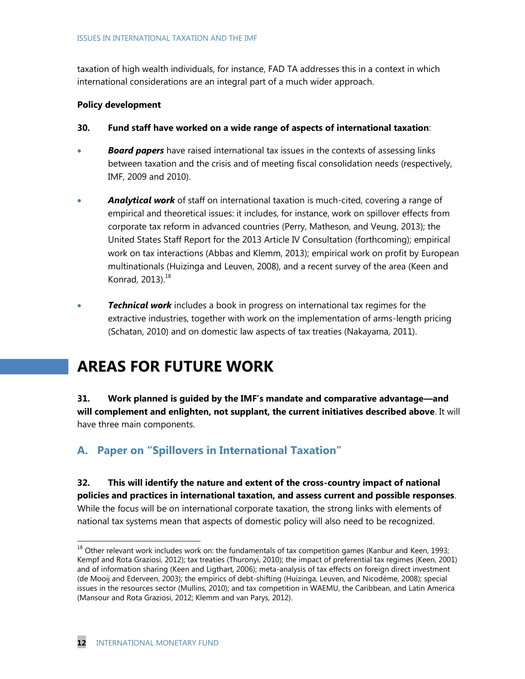taxation of high wealth individuals, for instance, FAD TA addresses this in a context in which international considerations are an integral part of a much wider approach.

#### **Policy development**

- **30. Fund staff have worked on a wide range of aspects of international taxation**:
- *Board papers* have raised international tax issues in the contexts of assessing links between taxation and the crisis and of meeting fiscal consolidation needs (respectively, IMF, 2009 and 2010).
- *Analytical work* of staff on international taxation is much-cited, covering a range of empirical and theoretical issues: it includes, for instance, work on spillover effects from corporate tax reform in advanced countries (Perry, Matheson, and Veung, 2013); the United States Staff Report for the 2013 Article IV Consultation (forthcoming); empirical work on tax interactions (Abbas and Klemm, 2013); empirical work on profit by European multinationals (Huizinga and Leuven, 2008), and a recent survey of the area (Keen and Konrad,  $2013$ ). $^{18}$
- *Technical work* includes a book in progress on international tax regimes for the extractive industries, together with work on the implementation of arms-length pricing (Schatan, 2010) and on domestic law aspects of tax treaties (Nakayama, 2011).

## **AREAS FOR FUTURE WORK**

**31. Work planned is guided by the IMF"s mandate and comparative advantage—and will complement and enlighten, not supplant, the current initiatives described above**. It will have three main components.

## **A. Paper on "Spillovers in International Taxation"**

**32. This will identify the nature and extent of the cross-country impact of national policies and practices in international taxation, and assess current and possible responses**. While the focus will be on international corporate taxation, the strong links with elements of national tax systems mean that aspects of domestic policy will also need to be recognized.

 $18$  Other relevant work includes work on: the fundamentals of tax competition games (Kanbur and Keen, 1993; Kempf and Rota Graziosi, 2012); tax treaties (Thuronyi, 2010); the impact of preferential tax regimes (Keen, 2001) and of information sharing (Keen and Ligthart, 2006); meta-analysis of tax effects on foreign direct investment (de Mooij and Ederveen, 2003); the empirics of debt-shifting (Huizinga, Leuven, and Nicodème, 2008); special issues in the resources sector (Mullins, 2010); and tax competition in WAEMU, the Caribbean, and Latin America (Mansour and Rota Graziosi, 2012; Klemm and van Parys, 2012).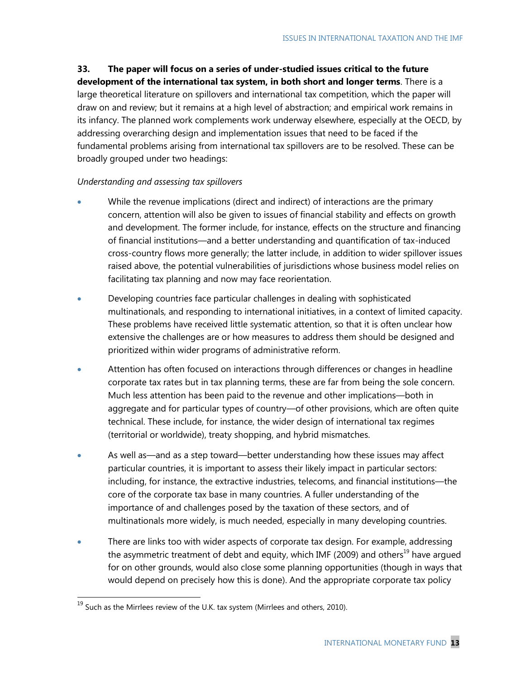### **33. The paper will focus on a series of under-studied issues critical to the future**

**development of the international tax system, in both short and longer terms**. There is a large theoretical literature on spillovers and international tax competition, which the paper will draw on and review; but it remains at a high level of abstraction; and empirical work remains in its infancy. The planned work complements work underway elsewhere, especially at the OECD, by addressing overarching design and implementation issues that need to be faced if the fundamental problems arising from international tax spillovers are to be resolved. These can be broadly grouped under two headings:

#### *Understanding and assessing tax spillovers*

- While the revenue implications (direct and indirect) of interactions are the primary concern, attention will also be given to issues of financial stability and effects on growth and development. The former include, for instance, effects on the structure and financing of financial institutions—and a better understanding and quantification of tax-induced cross-country flows more generally; the latter include, in addition to wider spillover issues raised above, the potential vulnerabilities of jurisdictions whose business model relies on facilitating tax planning and now may face reorientation.
- Developing countries face particular challenges in dealing with sophisticated multinationals, and responding to international initiatives, in a context of limited capacity. These problems have received little systematic attention, so that it is often unclear how extensive the challenges are or how measures to address them should be designed and prioritized within wider programs of administrative reform.
- Attention has often focused on interactions through differences or changes in headline corporate tax rates but in tax planning terms, these are far from being the sole concern. Much less attention has been paid to the revenue and other implications—both in aggregate and for particular types of country—of other provisions, which are often quite technical. These include, for instance, the wider design of international tax regimes (territorial or worldwide), treaty shopping, and hybrid mismatches.
- As well as—and as a step toward—better understanding how these issues may affect particular countries, it is important to assess their likely impact in particular sectors: including, for instance, the extractive industries, telecoms, and financial institutions—the core of the corporate tax base in many countries. A fuller understanding of the importance of and challenges posed by the taxation of these sectors, and of multinationals more widely, is much needed, especially in many developing countries.
- There are links too with wider aspects of corporate tax design. For example, addressing the asymmetric treatment of debt and equity, which IMF (2009) and others<sup>19</sup> have argued for on other grounds, would also close some planning opportunities (though in ways that would depend on precisely how this is done). And the appropriate corporate tax policy

 $^{19}$  Such as the Mirrlees review of the U.K. tax system (Mirrlees and others, 2010).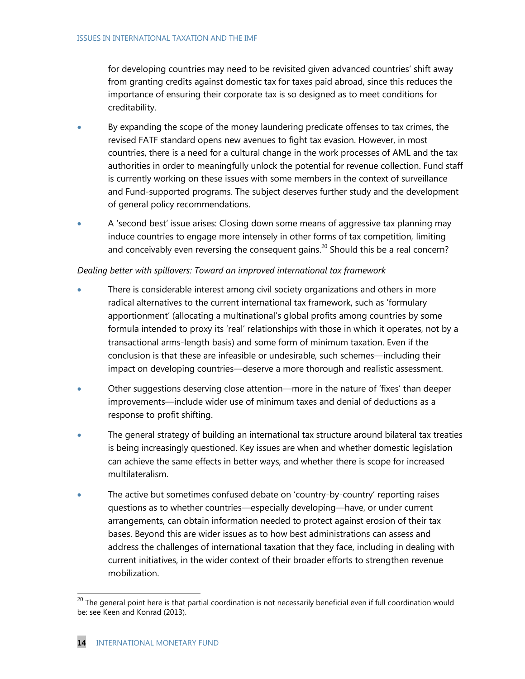for developing countries may need to be revisited given advanced countries' shift away from granting credits against domestic tax for taxes paid abroad, since this reduces the importance of ensuring their corporate tax is so designed as to meet conditions for creditability.

- By expanding the scope of the money laundering predicate offenses to tax crimes, the revised FATF standard opens new avenues to fight tax evasion. However, in most countries, there is a need for a cultural change in the work processes of AML and the tax authorities in order to meaningfully unlock the potential for revenue collection. Fund staff is currently working on these issues with some members in the context of surveillance and Fund-supported programs. The subject deserves further study and the development of general policy recommendations.
- A 'second best' issue arises: Closing down some means of aggressive tax planning may induce countries to engage more intensely in other forms of tax competition, limiting and conceivably even reversing the consequent gains.<sup>20</sup> Should this be a real concern?

#### *Dealing better with spillovers: Toward an improved international tax framework*

- There is considerable interest among civil society organizations and others in more radical alternatives to the current international tax framework, such as 'formulary apportionment' (allocating a multinational's global profits among countries by some formula intended to proxy its 'real' relationships with those in which it operates, not by a transactional arms-length basis) and some form of minimum taxation. Even if the conclusion is that these are infeasible or undesirable, such schemes—including their impact on developing countries—deserve a more thorough and realistic assessment.
- Other suggestions deserving close attention—more in the nature of ‗fixes' than deeper improvements—include wider use of minimum taxes and denial of deductions as a response to profit shifting.
- The general strategy of building an international tax structure around bilateral tax treaties is being increasingly questioned. Key issues are when and whether domestic legislation can achieve the same effects in better ways, and whether there is scope for increased multilateralism.
- The active but sometimes confused debate on 'country-by-country' reporting raises questions as to whether countries—especially developing—have, or under current arrangements, can obtain information needed to protect against erosion of their tax bases. Beyond this are wider issues as to how best administrations can assess and address the challenges of international taxation that they face, including in dealing with current initiatives, in the wider context of their broader efforts to strengthen revenue mobilization.

 $^{20}$  The general point here is that partial coordination is not necessarily beneficial even if full coordination would be: see Keen and Konrad (2013).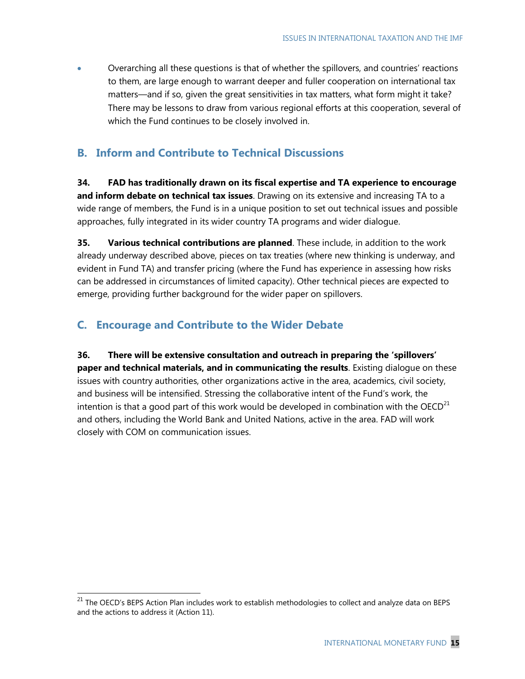Overarching all these questions is that of whether the spillovers, and countries' reactions to them, are large enough to warrant deeper and fuller cooperation on international tax matters—and if so, given the great sensitivities in tax matters, what form might it take? There may be lessons to draw from various regional efforts at this cooperation, several of which the Fund continues to be closely involved in.

## **B. Inform and Contribute to Technical Discussions**

**34. FAD has traditionally drawn on its fiscal expertise and TA experience to encourage and inform debate on technical tax issues**. Drawing on its extensive and increasing TA to a wide range of members, the Fund is in a unique position to set out technical issues and possible approaches, fully integrated in its wider country TA programs and wider dialogue.

**35. Various technical contributions are planned**. These include, in addition to the work already underway described above, pieces on tax treaties (where new thinking is underway, and evident in Fund TA) and transfer pricing (where the Fund has experience in assessing how risks can be addressed in circumstances of limited capacity). Other technical pieces are expected to emerge, providing further background for the wider paper on spillovers.

## **C. Encourage and Contribute to the Wider Debate**

 $\overline{a}$ 

**36. There will be extensive consultation and outreach in preparing the "spillovers" paper and technical materials, and in communicating the results**. Existing dialogue on these issues with country authorities, other organizations active in the area, academics, civil society, and business will be intensified. Stressing the collaborative intent of the Fund's work, the intention is that a good part of this work would be developed in combination with the  $OECD<sup>21</sup>$ and others, including the World Bank and United Nations, active in the area. FAD will work closely with COM on communication issues.

<sup>&</sup>lt;sup>21</sup> The OECD's BEPS Action Plan includes work to establish methodologies to collect and analyze data on BEPS and the actions to address it (Action 11).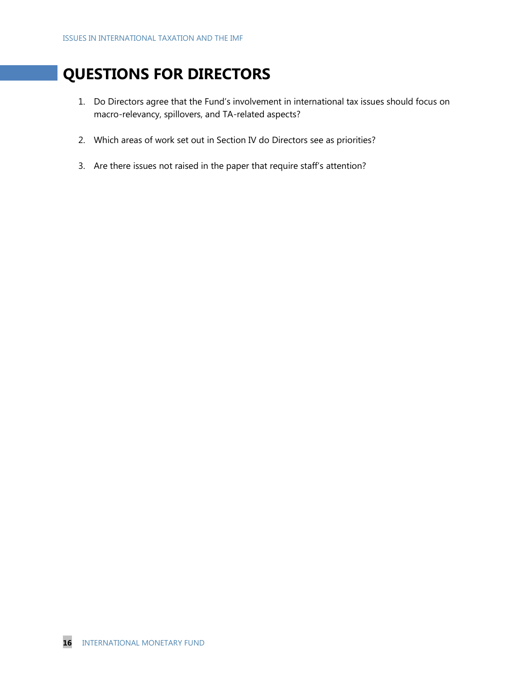# **QUESTIONS FOR DIRECTORS**

- 1. Do Directors agree that the Fund's involvement in international tax issues should focus on macro-relevancy, spillovers, and TA-related aspects?
- 2. Which areas of work set out in Section IV do Directors see as priorities?
- 3. Are there issues not raised in the paper that require staff's attention?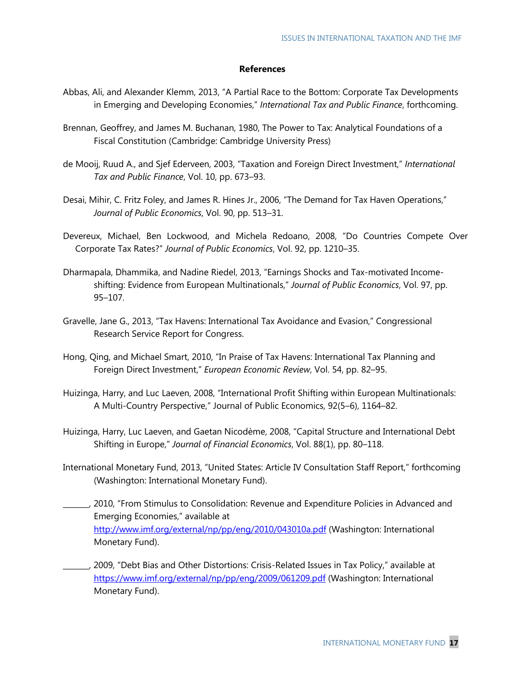#### **References**

- Abbas, Ali, and Alexander Klemm, 2013, "A Partial Race to the Bottom: Corporate Tax Developments in Emerging and Developing Economies," International Tax and Public Finance, forthcoming.
- Brennan, Geoffrey, and James M. Buchanan, 1980, The Power to Tax: Analytical Foundations of a Fiscal Constitution (Cambridge: Cambridge University Press)
- de Mooij, Ruud A., and Sjef Ederveen, 2003, "Taxation and Foreign Direct Investment," *International Tax and Public Finance*, Vol. 10, pp. 673–93.
- Desai, Mihir, C. Fritz Foley, and James R. Hines Jr., 2006, "The Demand for Tax Haven Operations," *Journal of Public Economics*, Vol. 90, pp. 513–31.
- Devereux, Michael, Ben Lockwood, and Michela Redoano, 2008, "Do Countries Compete Over Corporate Tax Rates?‖ *Journal of Public Economics*, Vol. 92, pp. 1210–35.
- Dharmapala, Dhammika, and Nadine Riedel, 2013, "Earnings Shocks and Tax-motivated Incomeshifting: Evidence from European Multinationals," Journal of Public Economics, Vol. 97, pp. 95–107.
- Gravelle, Jane G., 2013, "Tax Havens: International Tax Avoidance and Evasion," Congressional Research Service Report for Congress.
- Hong, Qing, and Michael Smart, 2010, "In Praise of Tax Havens: International Tax Planning and Foreign Direct Investment,‖ *European Economic Review*, Vol. 54, pp. 82–95.
- Huizinga, Harry, and Luc Laeven, 2008, "International Profit Shifting within European Multinationals: A Multi-Country Perspective," Journal of Public Economics, 92(5-6), 1164-82.
- Huizinga, Harry, Luc Laeven, and Gaetan Nicodème, 2008, "Capital Structure and International Debt Shifting in Europe," Journal of Financial Economics, Vol. 88(1), pp. 80-118.
- International Monetary Fund, 2013, "United States: Article IV Consultation Staff Report," forthcoming (Washington: International Monetary Fund).
- \_\_\_\_\_\_\_, 2010, ―From Stimulus to Consolidation: Revenue and Expenditure Policies in Advanced and Emerging Economies," available at <http://www.imf.org/external/np/pp/eng/2010/043010a.pdf> (Washington: International Monetary Fund).
- , 2009, "Debt Bias and Other Distortions: Crisis-Related Issues in Tax Policy," available at <https://www.imf.org/external/np/pp/eng/2009/061209.pdf> (Washington: International Monetary Fund).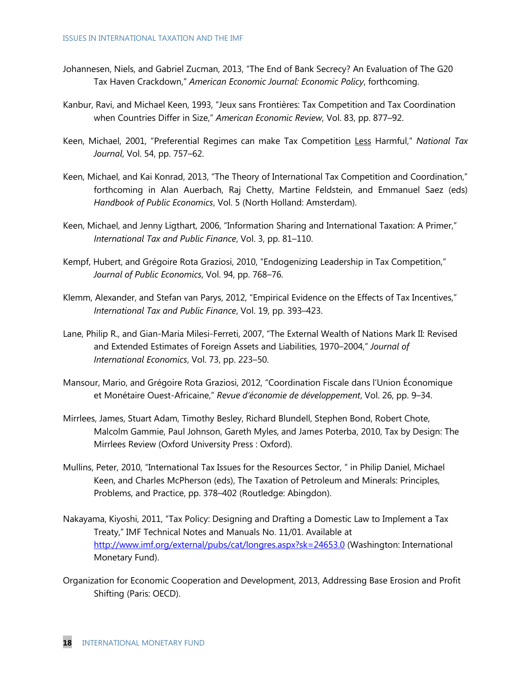- Johannesen, Niels, and Gabriel Zucman, 2013, "The End of Bank Secrecy? An Evaluation of The G20 Tax Haven Crackdown,‖ *American Economic Journal: Economic Policy*, forthcoming.
- Kanbur, Ravi, and Michael Keen, 1993, "Jeux sans Frontières: Tax Competition and Tax Coordination when Countries Differ in Size," American Economic Review, Vol. 83, pp. 877-92.
- Keen, Michael, 2001, "Preferential Regimes can make Tax Competition Less Harmful," National Tax *Journal*, Vol. 54, pp. 757–62.
- Keen, Michael, and Kai Konrad, 2013, "The Theory of International Tax Competition and Coordination," forthcoming in Alan Auerbach, Raj Chetty, Martine Feldstein, and Emmanuel Saez (eds) *Handbook of Public Economics*, Vol. 5 (North Holland: Amsterdam).
- Keen, Michael, and Jenny Ligthart, 2006, "Information Sharing and International Taxation: A Primer," *International Tax and Public Finance*, Vol. 3, pp. 81–110.
- Kempf, Hubert, and Grégoire Rota Graziosi, 2010, "Endogenizing Leadership in Tax Competition," *Journal of Public Economics*, Vol. 94, pp. 768–76.
- Klemm, Alexander, and Stefan van Parys, 2012, "Empirical Evidence on the Effects of Tax Incentives," *International Tax and Public Finance*, Vol. 19, pp. 393–423.
- Lane, Philip R., and Gian-Maria Milesi-Ferreti, 2007, "The External Wealth of Nations Mark II: Revised and Extended Estimates of Foreign Assets and Liabilities, 1970–2004," Journal of *International Economics*, Vol. 73, pp. 223–50.
- Mansour, Mario, and Grégoire Rota Graziosi, 2012, "Coordination Fiscale dans l'Union Économique et Monétaire Ouest-Africaine,‖ *Revue d'économie de développement*, Vol. 26, pp. 9–34.
- Mirrlees, James, Stuart Adam, Timothy Besley, Richard Blundell, Stephen Bond, Robert Chote, Malcolm Gammie, Paul Johnson, Gareth Myles, and James Poterba, 2010, Tax by Design: The Mirrlees Review (Oxford University Press : Oxford).
- Mullins, Peter, 2010, "International Tax Issues for the Resources Sector, " in Philip Daniel, Michael Keen, and Charles McPherson (eds), The Taxation of Petroleum and Minerals: Principles, Problems, and Practice, pp. 378–402 (Routledge: Abingdon).
- Nakayama, Kiyoshi, 2011, "Tax Policy: Designing and Drafting a Domestic Law to Implement a Tax Treaty," IMF Technical Notes and Manuals No. 11/01. Available at <http://www.imf.org/external/pubs/cat/longres.aspx?sk=24653.0> (Washington: International Monetary Fund).
- Organization for Economic Cooperation and Development, 2013, Addressing Base Erosion and Profit Shifting (Paris: OECD).